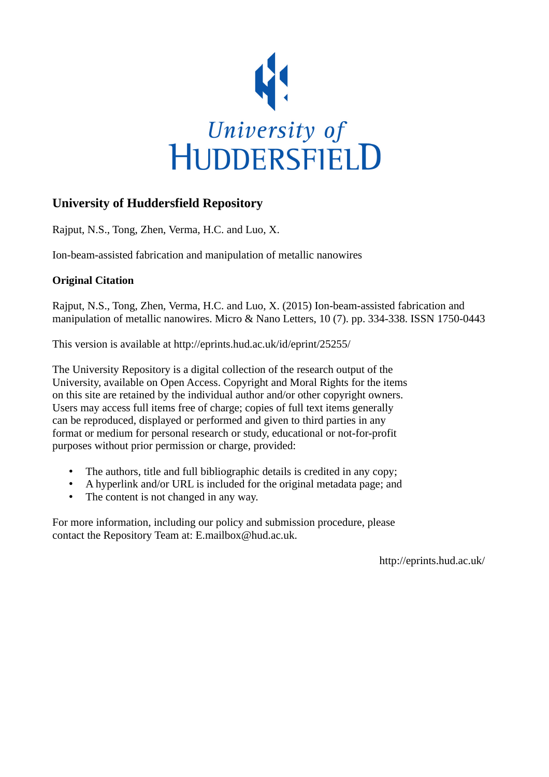

# **University of Huddersfield Repository**

Rajput, N.S., Tong, Zhen, Verma, H.C. and Luo, X.

Ion-beam-assisted fabrication and manipulation of metallic nanowires

## **Original Citation**

Rajput, N.S., Tong, Zhen, Verma, H.C. and Luo, X. (2015) Ion-beam-assisted fabrication and manipulation of metallic nanowires. Micro & Nano Letters, 10 (7). pp. 334-338. ISSN 1750-0443

This version is available at http://eprints.hud.ac.uk/id/eprint/25255/

The University Repository is a digital collection of the research output of the University, available on Open Access. Copyright and Moral Rights for the items on this site are retained by the individual author and/or other copyright owners. Users may access full items free of charge; copies of full text items generally can be reproduced, displayed or performed and given to third parties in any format or medium for personal research or study, educational or not-for-profit purposes without prior permission or charge, provided:

- The authors, title and full bibliographic details is credited in any copy;
- A hyperlink and/or URL is included for the original metadata page; and
- The content is not changed in any way.

For more information, including our policy and submission procedure, please contact the Repository Team at: E.mailbox@hud.ac.uk.

http://eprints.hud.ac.uk/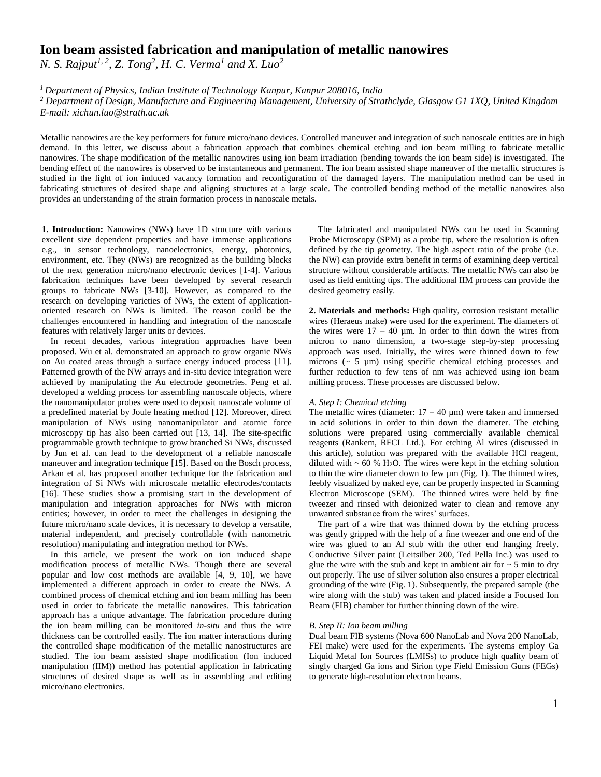### **Ion beam assisted fabrication and manipulation of metallic nanowires**

*N. S. Rajput1, 2, Z. Tong<sup>2</sup> , H. C. Verma<sup>1</sup> and X. Luo<sup>2</sup>*

*<sup>1</sup>Department of Physics, Indian Institute of Technology Kanpur, Kanpur 208016, India*

*<sup>2</sup> Department of Design, Manufacture and Engineering Management, University of Strathclyde, Glasgow G1 1XQ, United Kingdom E-mail: xichun.luo@strath.ac.uk*

Metallic nanowires are the key performers for future micro/nano devices. Controlled maneuver and integration of such nanoscale entities are in high demand. In this letter, we discuss about a fabrication approach that combines chemical etching and ion beam milling to fabricate metallic nanowires. The shape modification of the metallic nanowires using ion beam irradiation (bending towards the ion beam side) is investigated. The bending effect of the nanowires is observed to be instantaneous and permanent. The ion beam assisted shape maneuver of the metallic structures is studied in the light of ion induced vacancy formation and reconfiguration of the damaged layers. The manipulation method can be used in fabricating structures of desired shape and aligning structures at a large scale. The controlled bending method of the metallic nanowires also provides an understanding of the strain formation process in nanoscale metals.

**1. Introduction:** Nanowires (NWs) have 1D structure with various excellent size dependent properties and have immense applications e.g., in sensor technology, nanoelectronics, energy, photonics, environment, etc. They (NWs) are recognized as the building blocks of the next generation micro/nano electronic devices [1-4]. Various fabrication techniques have been developed by several research groups to fabricate NWs [3-10]. However, as compared to the research on developing varieties of NWs, the extent of applicationoriented research on NWs is limited. The reason could be the challenges encountered in handling and integration of the nanoscale features with relatively larger units or devices.

In recent decades, various integration approaches have been proposed. Wu et al. demonstrated an approach to grow organic NWs on Au coated areas through a surface energy induced process [11]. Patterned growth of the NW arrays and in-situ device integration were achieved by manipulating the Au electrode geometries. Peng et al. developed a welding process for assembling nanoscale objects, where the nanomanipulator probes were used to deposit nanoscale volume of a predefined material by Joule heating method [12]. Moreover, direct manipulation of NWs using nanomanipulator and atomic force microscopy tip has also been carried out [13, 14]. The site-specific programmable growth technique to grow branched Si NWs, discussed by Jun et al. can lead to the development of a reliable nanoscale maneuver and integration technique [15]. Based on the Bosch process, Arkan et al. has proposed another technique for the fabrication and integration of Si NWs with microscale metallic electrodes/contacts [16]. These studies show a promising start in the development of manipulation and integration approaches for NWs with micron entities; however, in order to meet the challenges in designing the future micro/nano scale devices, it is necessary to develop a versatile, material independent, and precisely controllable (with nanometric resolution) manipulating and integration method for NWs.

In this article, we present the work on ion induced shape modification process of metallic NWs. Though there are several popular and low cost methods are available [4, 9, 10], we have implemented a different approach in order to create the NWs. A combined process of chemical etching and ion beam milling has been used in order to fabricate the metallic nanowires. This fabrication approach has a unique advantage. The fabrication procedure during the ion beam milling can be monitored *in-situ* and thus the wire thickness can be controlled easily. The ion matter interactions during the controlled shape modification of the metallic nanostructures are studied. The ion beam assisted shape modification (Ion induced manipulation (IIM)) method has potential application in fabricating structures of desired shape as well as in assembling and editing micro/nano electronics.

The fabricated and manipulated NWs can be used in Scanning Probe Microscopy (SPM) as a probe tip, where the resolution is often defined by the tip geometry. The high aspect ratio of the probe (i.e. the NW) can provide extra benefit in terms of examining deep vertical structure without considerable artifacts. The metallic NWs can also be used as field emitting tips. The additional IIM process can provide the desired geometry easily.

**2. Materials and methods:** High quality, corrosion resistant metallic wires (Heraeus make) were used for the experiment. The diameters of the wires were  $17 - 40$  µm. In order to thin down the wires from micron to nano dimension, a two-stage step-by-step processing approach was used. Initially, the wires were thinned down to few microns  $({\sim 5 \mu m})$  using specific chemical etching processes and further reduction to few tens of nm was achieved using ion beam milling process. These processes are discussed below.

#### *A. Step I: Chemical etching*

The metallic wires (diameter:  $17 - 40 \text{ µm}$ ) were taken and immersed in acid solutions in order to thin down the diameter. The etching solutions were prepared using commercially available chemical reagents (Rankem, RFCL Ltd.). For etching Al wires (discussed in this article), solution was prepared with the available HCl reagent, diluted with  $\sim 60$  % H<sub>2</sub>O. The wires were kept in the etching solution to thin the wire diameter down to few µm (Fig. 1). The thinned wires, feebly visualized by naked eye, can be properly inspected in Scanning Electron Microscope (SEM). The thinned wires were held by fine tweezer and rinsed with deionized water to clean and remove any unwanted substance from the wires' surfaces.

The part of a wire that was thinned down by the etching process was gently gripped with the help of a fine tweezer and one end of the wire was glued to an Al stub with the other end hanging freely. Conductive Silver paint (Leitsilber 200, Ted Pella Inc.) was used to glue the wire with the stub and kept in ambient air for  $\sim$  5 min to dry out properly. The use of silver solution also ensures a proper electrical grounding of the wire (Fig. 1). Subsequently, the prepared sample (the wire along with the stub) was taken and placed inside a Focused Ion Beam (FIB) chamber for further thinning down of the wire.

#### *B. Step II: Ion beam milling*

Dual beam FIB systems (Nova 600 NanoLab and Nova 200 NanoLab, FEI make) were used for the experiments. The systems employ Ga Liquid Metal Ion Sources (LMISs) to produce high quality beam of singly charged Ga ions and Sirion type Field Emission Guns (FEGs) to generate high-resolution electron beams.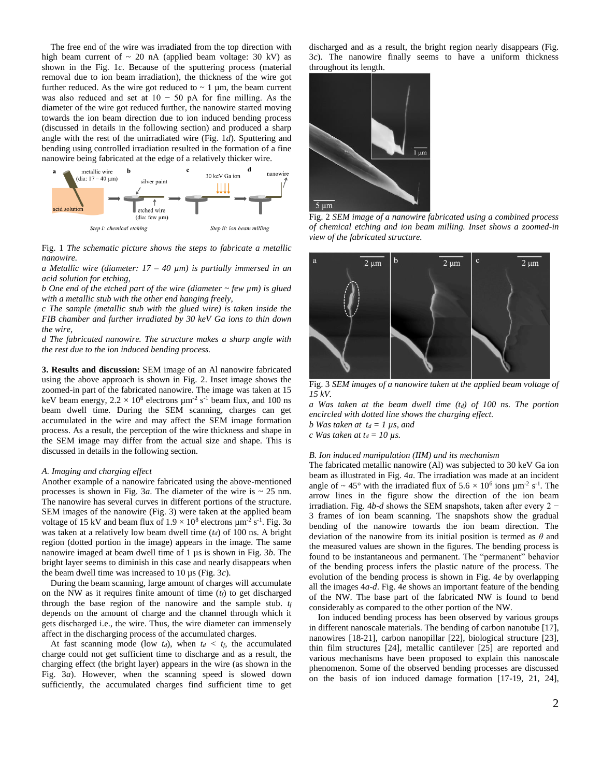The free end of the wire was irradiated from the top direction with high beam current of  $\sim$  20 nA (applied beam voltage: 30 kV) as shown in the Fig. 1*c*. Because of the sputtering process (material removal due to ion beam irradiation), the thickness of the wire got further reduced. As the wire got reduced to  $\sim 1$  µm, the beam current was also reduced and set at  $10 - 50$  pA for fine milling. As the diameter of the wire got reduced further, the nanowire started moving towards the ion beam direction due to ion induced bending process (discussed in details in the following section) and produced a sharp angle with the rest of the unirradiated wire (Fig. 1*d*). Sputtering and bending using controlled irradiation resulted in the formation of a fine nanowire being fabricated at the edge of a relatively thicker wire.



Fig. 1 *The schematic picture shows the steps to fabricate a metallic nanowire.*

*a Metallic wire (diameter: 17 – 40 µm) is partially immersed in an acid solution for etching,* 

*b One end of the etched part of the wire (diameter ~ few µm) is glued with a metallic stub with the other end hanging freely,* 

*c The sample (metallic stub with the glued wire) is taken inside the FIB chamber and further irradiated by 30 keV Ga ions to thin down the wire,* 

*d The fabricated nanowire. The structure makes a sharp angle with the rest due to the ion induced bending process.*

**3. Results and discussion:** SEM image of an Al nanowire fabricated using the above approach is shown in Fig. 2. Inset image shows the zoomed-in part of the fabricated nanowire. The image was taken at 15 keV beam energy,  $2.2 \times 10^8$  electrons  $\mu$ m<sup>-2</sup> s<sup>-1</sup> beam flux, and 100 ns beam dwell time. During the SEM scanning, charges can get accumulated in the wire and may affect the SEM image formation process. As a result, the perception of the wire thickness and shape in the SEM image may differ from the actual size and shape. This is discussed in details in the following section.

#### *A. Imaging and charging effect*

Another example of a nanowire fabricated using the above-mentioned processes is shown in Fig.  $3a$ . The diameter of the wire is  $\sim 25$  nm. The nanowire has several curves in different portions of the structure. SEM images of the nanowire (Fig. 3) were taken at the applied beam voltage of 15 kV and beam flux of  $1.9 \times 10^8$  electrons  $\mu$ m<sup>-2</sup> s<sup>-1</sup>. Fig. 3*a* was taken at a relatively low beam dwell time (*td*) of 100 ns. A bright region (dotted portion in the image) appears in the image. The same nanowire imaged at beam dwell time of 1 µs is shown in Fig. 3*b*. The bright layer seems to diminish in this case and nearly disappears when the beam dwell time was increased to 10 µs (Fig. 3*c*).

During the beam scanning, large amount of charges will accumulate on the NW as it requires finite amount of time  $(t_f)$  to get discharged through the base region of the nanowire and the sample stub. *t<sup>f</sup>* depends on the amount of charge and the channel through which it gets discharged i.e., the wire. Thus, the wire diameter can immensely affect in the discharging process of the accumulated charges.

At fast scanning mode (low  $t_d$ ), when  $t_d < t_f$ , the accumulated charge could not get sufficient time to discharge and as a result, the charging effect (the bright layer) appears in the wire (as shown in the Fig. 3*a*). However, when the scanning speed is slowed down sufficiently, the accumulated charges find sufficient time to get discharged and as a result, the bright region nearly disappears (Fig. 3*c*). The nanowire finally seems to have a uniform thickness throughout its length.



Fig. 2 *SEM image of a nanowire fabricated using a combined process of chemical etching and ion beam milling. Inset shows a zoomed-in view of the fabricated structure.*



Fig. 3 *SEM images of a nanowire taken at the applied beam voltage of 15 kV.* 

*a Was taken at the beam dwell time (td) of 100 ns. The portion encircled with dotted line shows the charging effect.* 

- *b Was taken at*  $t_d = 1$   $\mu$ *s, and*
- *c Was taken at t<sub>d</sub>* = 10  $\mu$ s.

#### *B. Ion induced manipulation (IIM) and its mechanism*

The fabricated metallic nanowire (Al) was subjected to 30 keV Ga ion beam as illustrated in Fig. 4*a*. The irradiation was made at an incident angle of  $\sim 45$  ° with the irradiated flux of  $5.6 \times 10^6$  ions  $\mu$ m<sup>-2</sup> s<sup>-1</sup>. The arrow lines in the figure show the direction of the ion beam irradiation. Fig. 4*b-d* shows the SEM snapshots, taken after every 2 − 3 frames of ion beam scanning. The snapshots show the gradual bending of the nanowire towards the ion beam direction. The deviation of the nanowire from its initial position is termed as *θ* and the measured values are shown in the figures. The bending process is found to be instantaneous and permanent. The "permanent" behavior of the bending process infers the plastic nature of the process. The evolution of the bending process is shown in Fig. 4*e* by overlapping all the images 4*a-d*. Fig. 4*e* shows an important feature of the bending of the NW. The base part of the fabricated NW is found to bend considerably as compared to the other portion of the NW.

Ion induced bending process has been observed by various groups in different nanoscale materials. The bending of carbon nanotube [17], nanowires [18-21], carbon nanopillar [22], biological structure [23], thin film structures [24], metallic cantilever [25] are reported and various mechanisms have been proposed to explain this nanoscale phenomenon. Some of the observed bending processes are discussed on the basis of ion induced damage formation [17-19, 21, 24],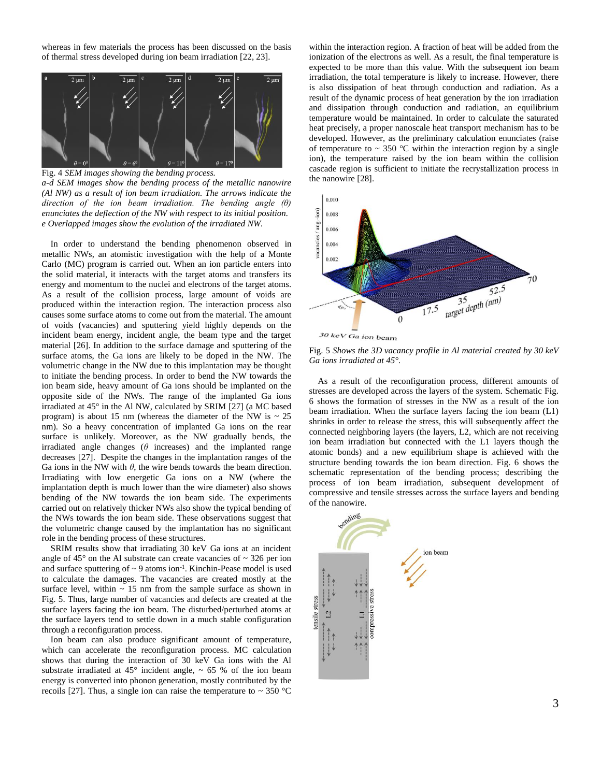whereas in few materials the process has been discussed on the basis of thermal stress developed during ion beam irradiation [22, 23].



Fig. 4 *SEM images showing the bending process.*

*a-d SEM images show the bending process of the metallic nanowire (Al NW) as a result of ion beam irradiation. The arrows indicate the direction of the ion beam irradiation. The bending angle (θ) enunciates the deflection of the NW with respect to its initial position. e Overlapped images show the evolution of the irradiated NW.*

In order to understand the bending phenomenon observed in metallic NWs, an atomistic investigation with the help of a Monte Carlo (MC) program is carried out. When an ion particle enters into the solid material, it interacts with the target atoms and transfers its energy and momentum to the nuclei and electrons of the target atoms. As a result of the collision process, large amount of voids are produced within the interaction region. The interaction process also causes some surface atoms to come out from the material. The amount of voids (vacancies) and sputtering yield highly depends on the incident beam energy, incident angle, the beam type and the target material [26]. In addition to the surface damage and sputtering of the surface atoms, the Ga ions are likely to be doped in the NW. The volumetric change in the NW due to this implantation may be thought to initiate the bending process. In order to bend the NW towards the ion beam side, heavy amount of Ga ions should be implanted on the opposite side of the NWs. The range of the implanted Ga ions irradiated at 45° in the Al NW, calculated by SRIM [27] (a MC based program) is about 15 nm (whereas the diameter of the NW is  $\sim$  25 nm). So a heavy concentration of implanted Ga ions on the rear surface is unlikely. Moreover, as the NW gradually bends, the irradiated angle changes ( $\theta$  increases) and the implanted range decreases [27]. Despite the changes in the implantation ranges of the Ga ions in the NW with  $\theta$ , the wire bends towards the beam direction. Irradiating with low energetic Ga ions on a NW (where the implantation depth is much lower than the wire diameter) also shows bending of the NW towards the ion beam side. The experiments carried out on relatively thicker NWs also show the typical bending of the NWs towards the ion beam side. These observations suggest that the volumetric change caused by the implantation has no significant role in the bending process of these structures.

SRIM results show that irradiating 30 keV Ga ions at an incident angle of 45 $^{\circ}$  on the Al substrate can create vacancies of  $\sim$  326 per ion and surface sputtering of  $\sim$  9 atoms ion<sup>-1</sup>. Kinchin-Pease model is used to calculate the damages. The vacancies are created mostly at the surface level, within  $\sim$  15 nm from the sample surface as shown in Fig. 5. Thus, large number of vacancies and defects are created at the surface layers facing the ion beam. The disturbed/perturbed atoms at the surface layers tend to settle down in a much stable configuration through a reconfiguration process.

Ion beam can also produce significant amount of temperature, which can accelerate the reconfiguration process. MC calculation shows that during the interaction of 30 keV Ga ions with the Al substrate irradiated at 45 $\degree$  incident angle,  $\sim$  65 $\degree$ % of the ion beam energy is converted into phonon generation, mostly contributed by the recoils [27]. Thus, a single ion can raise the temperature to  $\sim 350 \text{ °C}$  within the interaction region. A fraction of heat will be added from the ionization of the electrons as well. As a result, the final temperature is expected to be more than this value. With the subsequent ion beam irradiation, the total temperature is likely to increase. However, there is also dissipation of heat through conduction and radiation. As a result of the dynamic process of heat generation by the ion irradiation and dissipation through conduction and radiation, an equilibrium temperature would be maintained. In order to calculate the saturated heat precisely, a proper nanoscale heat transport mechanism has to be developed. However, as the preliminary calculation enunciates (raise of temperature to  $\sim$  350 °C within the interaction region by a single ion), the temperature raised by the ion beam within the collision cascade region is sufficient to initiate the recrystallization process in the nanowire [28].



Fig. 5 *Shows the 3D vacancy profile in Al material created by 30 keV Ga ions irradiated at 45°.*

As a result of the reconfiguration process, different amounts of stresses are developed across the layers of the system. Schematic Fig. 6 shows the formation of stresses in the NW as a result of the ion beam irradiation. When the surface layers facing the ion beam (L1) shrinks in order to release the stress, this will subsequently affect the connected neighboring layers (the layers, L2, which are not receiving ion beam irradiation but connected with the L1 layers though the atomic bonds) and a new equilibrium shape is achieved with the structure bending towards the ion beam direction. Fig. 6 shows the schematic representation of the bending process; describing the process of ion beam irradiation, subsequent development of compressive and tensile stresses across the surface layers and bending of the nanowire.

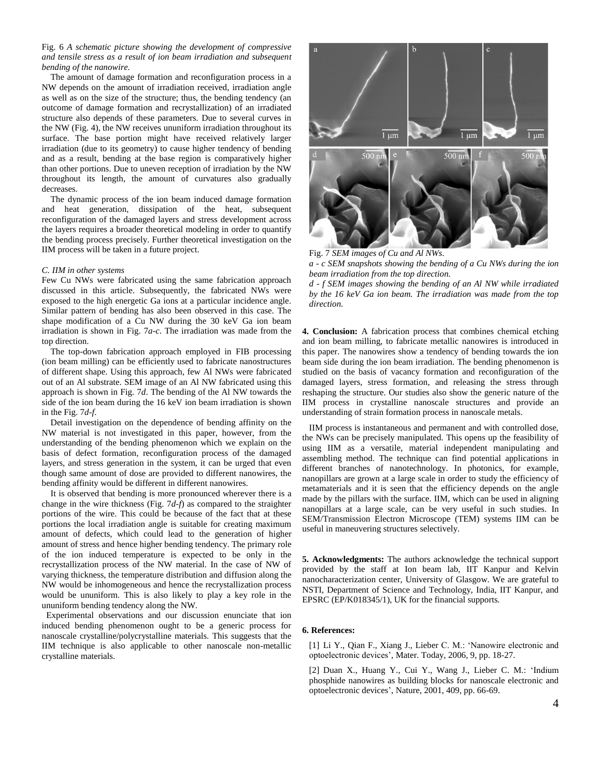Fig. 6 *A schematic picture showing the development of compressive and tensile stress as a result of ion beam irradiation and subsequent bending of the nanowire.*

The amount of damage formation and reconfiguration process in a NW depends on the amount of irradiation received, irradiation angle as well as on the size of the structure; thus, the bending tendency (an outcome of damage formation and recrystallization) of an irradiated structure also depends of these parameters. Due to several curves in the NW (Fig. 4), the NW receives ununiform irradiation throughout its surface. The base portion might have received relatively larger irradiation (due to its geometry) to cause higher tendency of bending and as a result, bending at the base region is comparatively higher than other portions. Due to uneven reception of irradiation by the NW throughout its length, the amount of curvatures also gradually decreases.

The dynamic process of the ion beam induced damage formation and heat generation, dissipation of the heat, subsequent reconfiguration of the damaged layers and stress development across the layers requires a broader theoretical modeling in order to quantify the bending process precisely. Further theoretical investigation on the IIM process will be taken in a future project.

#### *C. IIM in other systems*

Few Cu NWs were fabricated using the same fabrication approach discussed in this article. Subsequently, the fabricated NWs were exposed to the high energetic Ga ions at a particular incidence angle. Similar pattern of bending has also been observed in this case. The shape modification of a Cu NW during the 30 keV Ga ion beam irradiation is shown in Fig. 7*a-c*. The irradiation was made from the top direction.

The top-down fabrication approach employed in FIB processing (ion beam milling) can be efficiently used to fabricate nanostructures of different shape. Using this approach, few Al NWs were fabricated out of an Al substrate. SEM image of an Al NW fabricated using this approach is shown in Fig. 7*d*. The bending of the Al NW towards the side of the ion beam during the 16 keV ion beam irradiation is shown in the Fig. 7*d-f*.

Detail investigation on the dependence of bending affinity on the NW material is not investigated in this paper, however, from the understanding of the bending phenomenon which we explain on the basis of defect formation, reconfiguration process of the damaged layers, and stress generation in the system, it can be urged that even though same amount of dose are provided to different nanowires, the bending affinity would be different in different nanowires.

It is observed that bending is more pronounced wherever there is a change in the wire thickness (Fig. 7*d-f*) as compared to the straighter portions of the wire. This could be because of the fact that at these portions the local irradiation angle is suitable for creating maximum amount of defects, which could lead to the generation of higher amount of stress and hence higher bending tendency. The primary role of the ion induced temperature is expected to be only in the recrystallization process of the NW material. In the case of NW of varying thickness, the temperature distribution and diffusion along the NW would be inhomogeneous and hence the recrystallization process would be ununiform. This is also likely to play a key role in the ununiform bending tendency along the NW.

Experimental observations and our discussion enunciate that ion induced bending phenomenon ought to be a generic process for nanoscale crystalline/polycrystalline materials. This suggests that the IIM technique is also applicable to other nanoscale non-metallic crystalline materials.



Fig. 7 *SEM images of Cu and Al NWs. a - c SEM snapshots showing the bending of a Cu NWs during the ion beam irradiation from the top direction.*

*d - f SEM images showing the bending of an Al NW while irradiated by the 16 keV Ga ion beam. The irradiation was made from the top direction.*

**4. Conclusion:** A fabrication process that combines chemical etching and ion beam milling, to fabricate metallic nanowires is introduced in this paper. The nanowires show a tendency of bending towards the ion beam side during the ion beam irradiation. The bending phenomenon is studied on the basis of vacancy formation and reconfiguration of the damaged layers, stress formation, and releasing the stress through reshaping the structure. Our studies also show the generic nature of the IIM process in crystalline nanoscale structures and provide an understanding of strain formation process in nanoscale metals.

IIM process is instantaneous and permanent and with controlled dose, the NWs can be precisely manipulated. This opens up the feasibility of using IIM as a versatile, material independent manipulating and assembling method. The technique can find potential applications in different branches of nanotechnology. In photonics, for example, nanopillars are grown at a large scale in order to study the efficiency of metamaterials and it is seen that the efficiency depends on the angle made by the pillars with the surface. IIM, which can be used in aligning nanopillars at a large scale, can be very useful in such studies. In SEM/Transmission Electron Microscope (TEM) systems IIM can be useful in maneuvering structures selectively.

**5. Acknowledgments:** The authors acknowledge the technical support provided by the staff at Ion beam lab, IIT Kanpur and Kelvin nanocharacterization center, University of Glasgow. We are grateful to NSTI, Department of Science and Technology, India, IIT Kanpur, and EPSRC (EP/K018345/1), UK for the financial supports.

#### **6. References:**

[1] Li Y., Qian F., Xiang J., Lieber C. M.: 'Nanowire electronic and optoelectronic devices', Mater. Today, 2006, 9, pp. 18-27.

[2] Duan X., Huang Y., Cui Y., Wang J., Lieber C. M.: 'Indium phosphide nanowires as building blocks for nanoscale electronic and optoelectronic devices', Nature, 2001, 409, pp. 66-69.